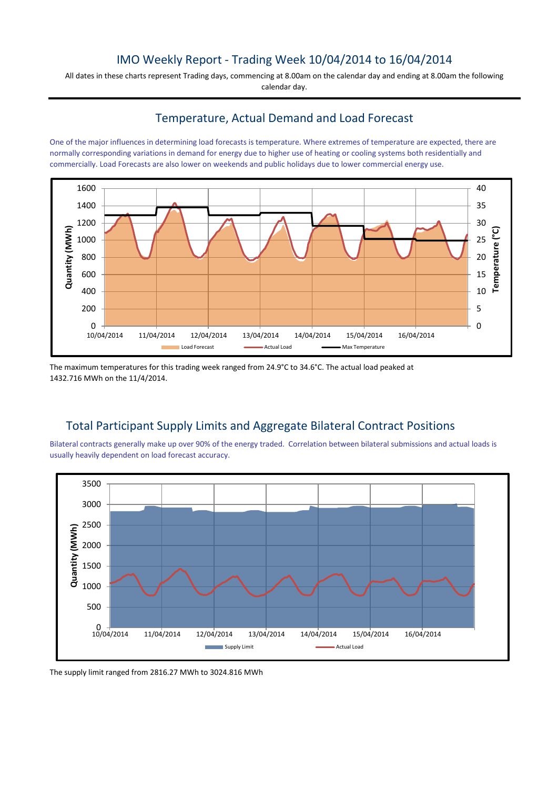## IMO Weekly Report - Trading Week 10/04/2014 to 16/04/2014

All dates in these charts represent Trading days, commencing at 8.00am on the calendar day and ending at 8.00am the following calendar day.

### Temperature, Actual Demand and Load Forecast

One of the major influences in determining load forecasts is temperature. Where extremes of temperature are expected, there are normally corresponding variations in demand for energy due to higher use of heating or cooling systems both residentially and commercially. Load Forecasts are also lower on weekends and public holidays due to lower commercial energy use.



The maximum temperatures for this trading week ranged from 24.9°C to 34.6°C. The actual load peaked at 1432.716 MWh on the 11/4/2014.

## Total Participant Supply Limits and Aggregate Bilateral Contract Positions

Bilateral contracts generally make up over 90% of the energy traded. Correlation between bilateral submissions and actual loads is usually heavily dependent on load forecast accuracy.



The supply limit ranged from 2816.27 MWh to 3024.816 MWh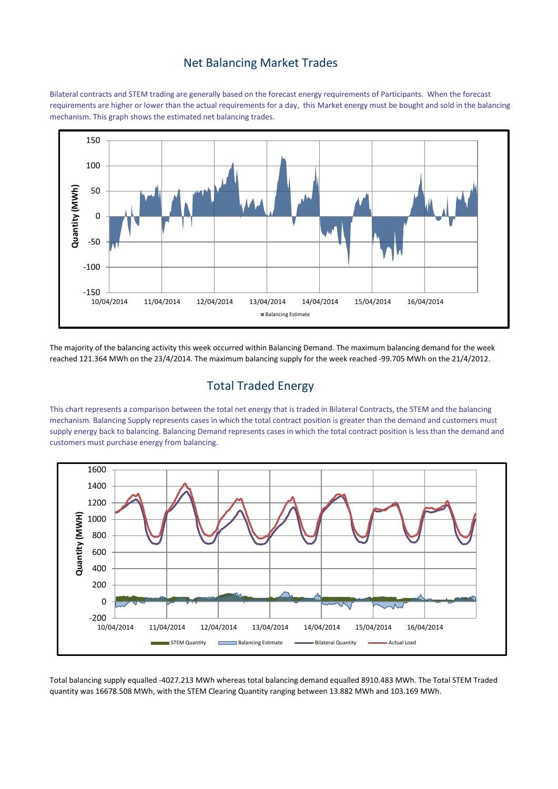#### Net Balancing Market Trades

Bilateral contracts and STEM trading are generally based on the forecast energy requirements of Participants. When the forecast requirements are higher or lower than the actual requirements for a day, this Market energy must be bought and sold in the balancing mechanism. This graph shows the estimated net balancing trades.



The majority of the balancing activity this week occurred within Balancing Demand. The maximum balancing demand for the week reached 121.364 MWh on the 23/4/2014. The maximum balancing supply for the week reached -99.705 MWh on the 21/4/2012.

# Total Traded Energy

This chart represents a comparison between the total net energy that is traded in Bilateral Contracts, the STEM and the balancing mechanism. Balancing Supply represents cases in which the total contract position is greater than the demand and customers must supply energy back to balancing. Balancing Demand represents cases in which the total contract position is less than the demand and customers must purchase energy from balancing.



Total balancing supply equalled -4027.213 MWh whereas total balancing demand equalled 8910.483 MWh. The Total STEM Traded quantity was 16678.508 MWh, with the STEM Clearing Quantity ranging between 13.882 MWh and 103.169 MWh.